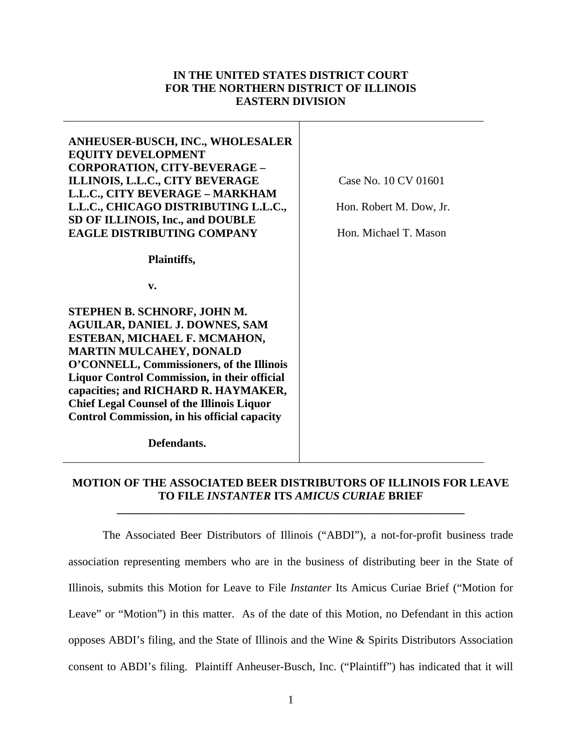# **IN THE UNITED STATES DISTRICT COURT FOR THE NORTHERN DISTRICT OF ILLINOIS EASTERN DIVISION**

**ANHEUSER-BUSCH, INC., WHOLESALER EQUITY DEVELOPMENT CORPORATION, CITY-BEVERAGE – ILLINOIS, L.L.C., CITY BEVERAGE L.L.C., CITY BEVERAGE – MARKHAM L.L.C., CHICAGO DISTRIBUTING L.L.C., SD OF ILLINOIS, Inc., and DOUBLE EAGLE DISTRIBUTING COMPANY** 

 **Plaintiffs,** 

**v.** 

**STEPHEN B. SCHNORF, JOHN M. AGUILAR, DANIEL J. DOWNES, SAM ESTEBAN, MICHAEL F. MCMAHON, MARTIN MULCAHEY, DONALD O'CONNELL, Commissioners, of the Illinois Liquor Control Commission, in their official capacities; and RICHARD R. HAYMAKER, Chief Legal Counsel of the Illinois Liquor Control Commission, in his official capacity** 

 **Defendants.** 

**MOTION OF THE ASSOCIATED BEER DISTRIBUTORS OF ILLINOIS FOR LEAVE TO FILE** *INSTANTER* **ITS** *AMICUS CURIAE* **BRIEF** 

**\_\_\_\_\_\_\_\_\_\_\_\_\_\_\_\_\_\_\_\_\_\_\_\_\_\_\_\_\_\_\_\_\_\_\_\_\_\_\_\_\_\_\_\_\_\_\_\_\_\_\_\_\_\_\_\_\_\_\_\_\_** 

The Associated Beer Distributors of Illinois ("ABDI"), a not-for-profit business trade association representing members who are in the business of distributing beer in the State of Illinois, submits this Motion for Leave to File *Instanter* Its Amicus Curiae Brief ("Motion for Leave" or "Motion") in this matter. As of the date of this Motion, no Defendant in this action opposes ABDI's filing, and the State of Illinois and the Wine & Spirits Distributors Association consent to ABDI's filing. Plaintiff Anheuser-Busch, Inc. ("Plaintiff") has indicated that it will

Case No. 10 CV 01601

Hon. Robert M. Dow, Jr.

Hon. Michael T. Mason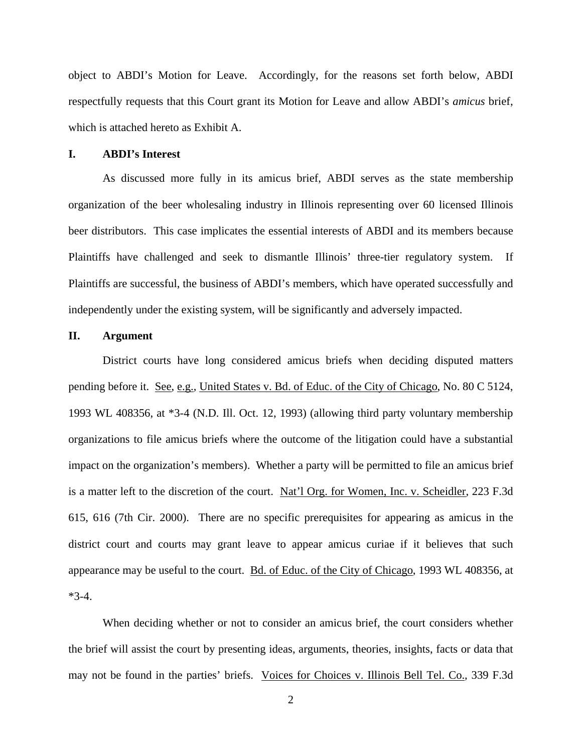object to ABDI's Motion for Leave. Accordingly, for the reasons set forth below, ABDI respectfully requests that this Court grant its Motion for Leave and allow ABDI's *amicus* brief, which is attached hereto as Exhibit A.

#### **I. ABDI's Interest**

As discussed more fully in its amicus brief, ABDI serves as the state membership organization of the beer wholesaling industry in Illinois representing over 60 licensed Illinois beer distributors. This case implicates the essential interests of ABDI and its members because Plaintiffs have challenged and seek to dismantle Illinois' three-tier regulatory system. If Plaintiffs are successful, the business of ABDI's members, which have operated successfully and independently under the existing system, will be significantly and adversely impacted.

## **II. Argument**

District courts have long considered amicus briefs when deciding disputed matters pending before it. See, e.g., United States v. Bd. of Educ. of the City of Chicago, No. 80 C 5124, 1993 WL 408356, at \*3-4 (N.D. Ill. Oct. 12, 1993) (allowing third party voluntary membership organizations to file amicus briefs where the outcome of the litigation could have a substantial impact on the organization's members). Whether a party will be permitted to file an amicus brief is a matter left to the discretion of the court. Nat'l Org. for Women, Inc. v. Scheidler, 223 F.3d 615, 616 (7th Cir. 2000). There are no specific prerequisites for appearing as amicus in the district court and courts may grant leave to appear amicus curiae if it believes that such appearance may be useful to the court. Bd. of Educ. of the City of Chicago, 1993 WL 408356, at  $*3-4.$ 

When deciding whether or not to consider an amicus brief, the court considers whether the brief will assist the court by presenting ideas, arguments, theories, insights, facts or data that may not be found in the parties' briefs. Voices for Choices v. Illinois Bell Tel. Co., 339 F.3d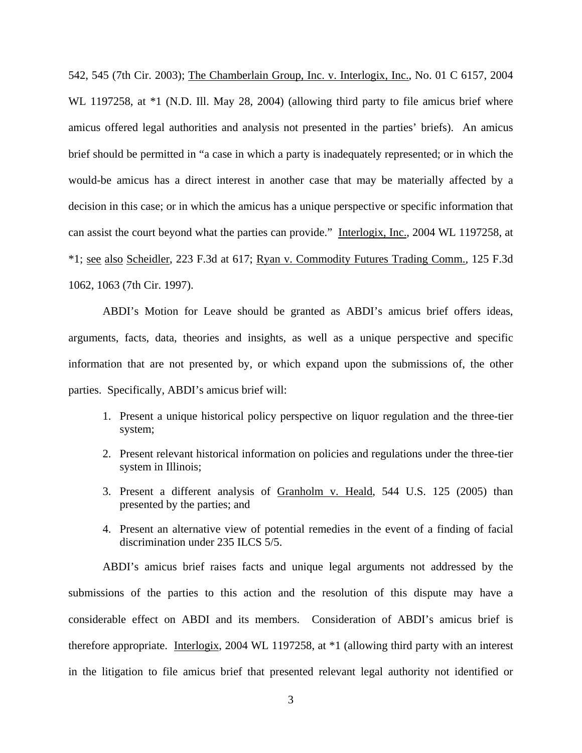542, 545 (7th Cir. 2003); The Chamberlain Group, Inc. v. Interlogix, Inc., No. 01 C 6157, 2004 WL 1197258, at  $*1$  (N.D. Ill. May 28, 2004) (allowing third party to file amicus brief where amicus offered legal authorities and analysis not presented in the parties' briefs). An amicus brief should be permitted in "a case in which a party is inadequately represented; or in which the would-be amicus has a direct interest in another case that may be materially affected by a decision in this case; or in which the amicus has a unique perspective or specific information that can assist the court beyond what the parties can provide." Interlogix, Inc., 2004 WL 1197258, at \*1; see also Scheidler, 223 F.3d at 617; Ryan v. Commodity Futures Trading Comm.*,* 125 F.3d 1062, 1063 (7th Cir. 1997).

ABDI's Motion for Leave should be granted as ABDI's amicus brief offers ideas, arguments, facts, data, theories and insights, as well as a unique perspective and specific information that are not presented by, or which expand upon the submissions of, the other parties. Specifically, ABDI's amicus brief will:

- 1. Present a unique historical policy perspective on liquor regulation and the three-tier system;
- 2. Present relevant historical information on policies and regulations under the three-tier system in Illinois;
- 3. Present a different analysis of Granholm v. Heald, 544 U.S. 125 (2005) than presented by the parties; and
- 4. Present an alternative view of potential remedies in the event of a finding of facial discrimination under 235 ILCS 5/5.

ABDI's amicus brief raises facts and unique legal arguments not addressed by the submissions of the parties to this action and the resolution of this dispute may have a considerable effect on ABDI and its members. Consideration of ABDI's amicus brief is therefore appropriate. Interlogix, 2004 WL 1197258, at \*1 (allowing third party with an interest in the litigation to file amicus brief that presented relevant legal authority not identified or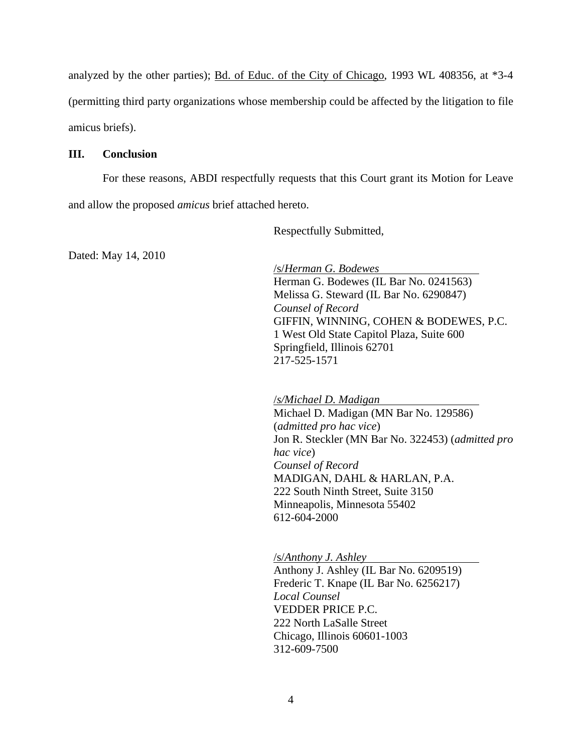analyzed by the other parties); Bd. of Educ. of the City of Chicago, 1993 WL 408356, at \*3-4 (permitting third party organizations whose membership could be affected by the litigation to file amicus briefs).

#### **III. Conclusion**

For these reasons, ABDI respectfully requests that this Court grant its Motion for Leave and allow the proposed *amicus* brief attached hereto.

Respectfully Submitted,

Dated: May 14, 2010

 /s/*Herman G. Bodewes*  Herman G. Bodewes (IL Bar No. 0241563) Melissa G. Steward (IL Bar No. 6290847) *Counsel of Record*  GIFFIN, WINNING, COHEN & BODEWES, P.C. 1 West Old State Capitol Plaza, Suite 600 Springfield, Illinois 62701 217-525-1571

/*s/Michael D. Madigan*  Michael D. Madigan (MN Bar No. 129586) (*admitted pro hac vice*) Jon R. Steckler (MN Bar No. 322453) (*admitted pro hac vice*) *Counsel of Record*  MADIGAN, DAHL & HARLAN, P.A. 222 South Ninth Street, Suite 3150 Minneapolis, Minnesota 55402 612-604-2000

/s/*Anthony J. Ashley*

Anthony J. Ashley (IL Bar No. 6209519) Frederic T. Knape (IL Bar No. 6256217) *Local Counsel*  VEDDER PRICE P.C. 222 North LaSalle Street Chicago, Illinois 60601-1003 312-609-7500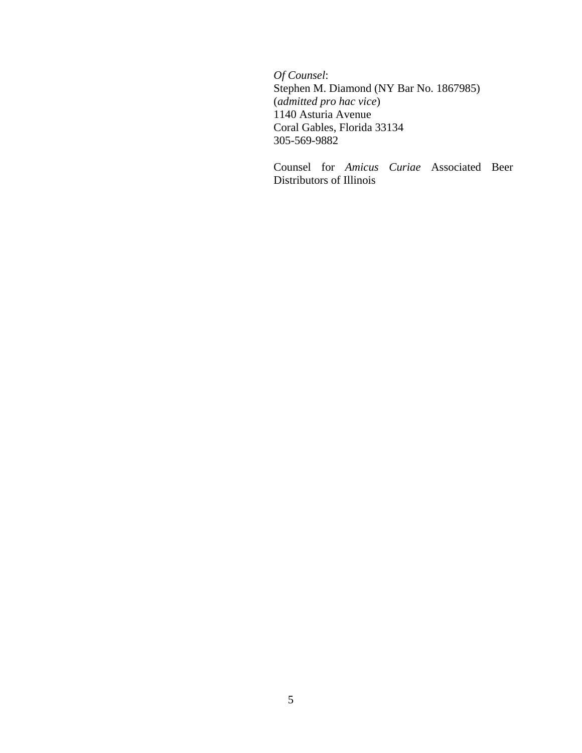*Of Counsel*: Stephen M. Diamond (NY Bar No. 1867985) (*admitted pro hac vice*) 1140 Asturia Avenue Coral Gables, Florida 33134 305-569-9882

Counsel for *Amicus Curiae* Associated Beer Distributors of Illinois